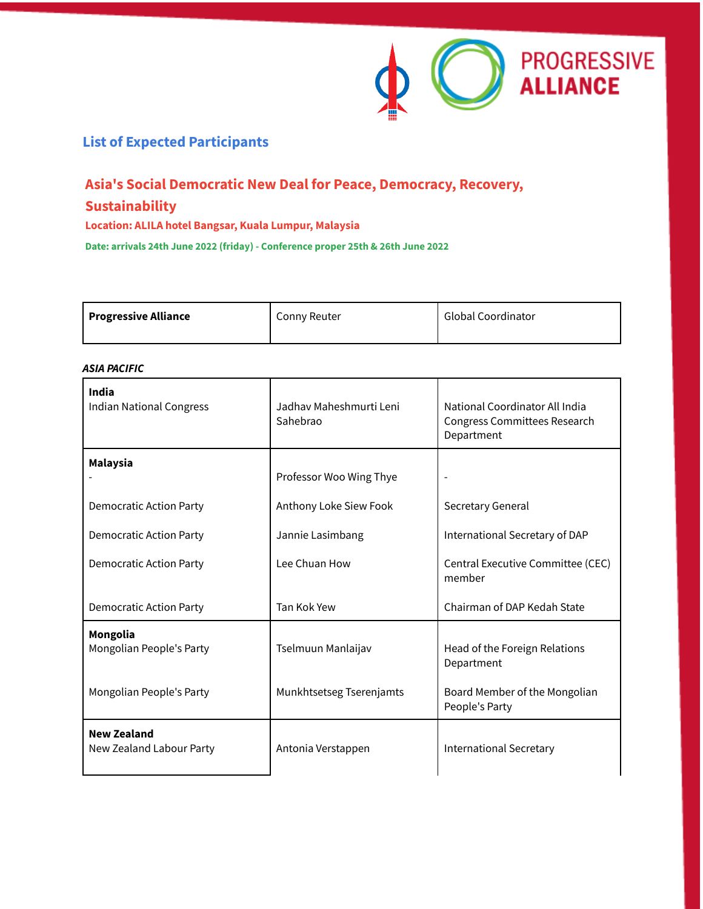

## **List of Expected Participants**

# **Asia's Social Democratic New Deal for Peace, Democracy, Recovery, Sustainability**

**Location: ALILA hotel Bangsar, Kuala Lumpur, Malaysia**

**Date: arrivals 24th June 2022 (friday) - Conference proper 25th & 26th June 2022**

| Progressive Alliance | Conny Reuter | <b>Global Coordinator</b> |
|----------------------|--------------|---------------------------|
|                      |              |                           |

#### *ASIA PACIFIC*

| <b>India</b><br><b>Indian National Congress</b> | Jadhav Maheshmurti Leni<br>Sahebrao | National Coordinator All India<br>Congress Committees Research<br>Department |
|-------------------------------------------------|-------------------------------------|------------------------------------------------------------------------------|
| <b>Malaysia</b>                                 | Professor Woo Wing Thye             |                                                                              |
| <b>Democratic Action Party</b>                  | Anthony Loke Siew Fook              | Secretary General                                                            |
| Democratic Action Party                         | Jannie Lasimbang                    | International Secretary of DAP                                               |
| Democratic Action Party                         | Lee Chuan How                       | Central Executive Committee (CEC)<br>member                                  |
| Democratic Action Party                         | Tan Kok Yew                         | Chairman of DAP Kedah State                                                  |
| Mongolia<br>Mongolian People's Party            | Tselmuun Manlaijav                  | Head of the Foreign Relations<br>Department                                  |
| Mongolian People's Party                        | Munkhtsetseg Tserenjamts            | Board Member of the Mongolian<br>People's Party                              |
| <b>New Zealand</b><br>New Zealand Labour Party  | Antonia Verstappen                  | <b>International Secretary</b>                                               |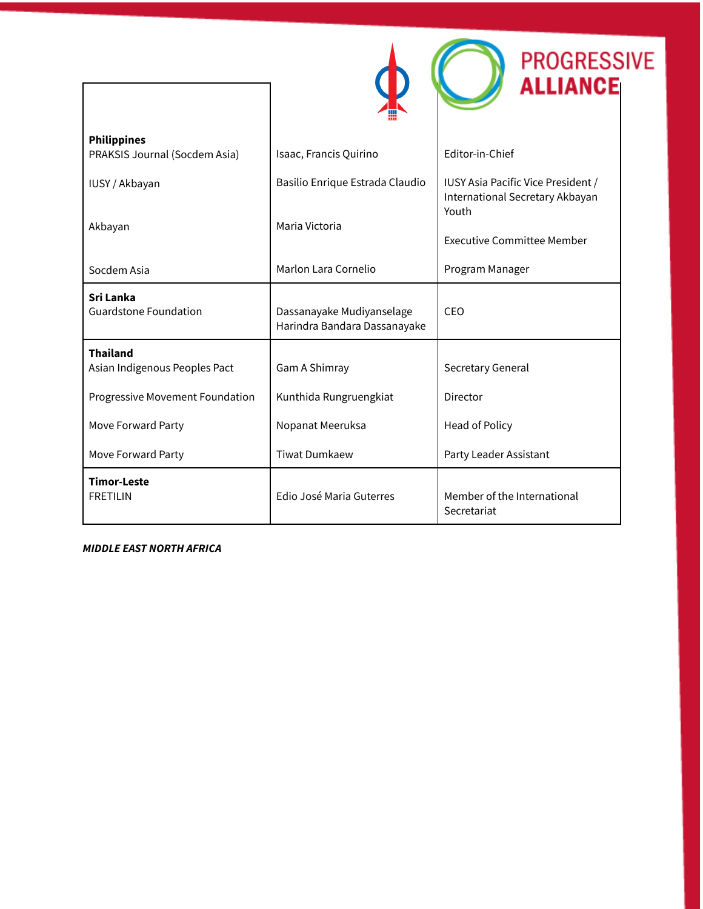|                                                     |                                                           | <b>PROGRESSIVE</b><br><b>ALLIANCE</b>                                          |
|-----------------------------------------------------|-----------------------------------------------------------|--------------------------------------------------------------------------------|
| <b>Philippines</b><br>PRAKSIS Journal (Socdem Asia) | Isaac, Francis Quirino                                    | Editor-in-Chief                                                                |
|                                                     |                                                           |                                                                                |
| IUSY / Akbayan                                      | Basilio Enrique Estrada Claudio                           | IUSY Asia Pacific Vice President /<br>International Secretary Akbayan<br>Youth |
| Akbayan                                             | Maria Victoria                                            |                                                                                |
|                                                     |                                                           | <b>Executive Committee Member</b>                                              |
| Socdem Asia                                         | Marlon Lara Cornelio                                      | Program Manager                                                                |
| <b>Sri Lanka</b><br><b>Guardstone Foundation</b>    | Dassanayake Mudiyanselage<br>Harindra Bandara Dassanayake | CEO                                                                            |
| <b>Thailand</b><br>Asian Indigenous Peoples Pact    | Gam A Shimray                                             | Secretary General                                                              |
|                                                     |                                                           |                                                                                |
| Progressive Movement Foundation                     | Kunthida Rungruengkiat                                    | Director                                                                       |
| Move Forward Party                                  | Nopanat Meeruksa                                          | Head of Policy                                                                 |
| Move Forward Party                                  | <b>Tiwat Dumkaew</b>                                      | Party Leader Assistant                                                         |
| <b>Timor-Leste</b><br><b>FRETILIN</b>               | Edio José Maria Guterres                                  | Member of the International<br>Secretariat                                     |

*MIDDLE EAST NORTH AFRICA*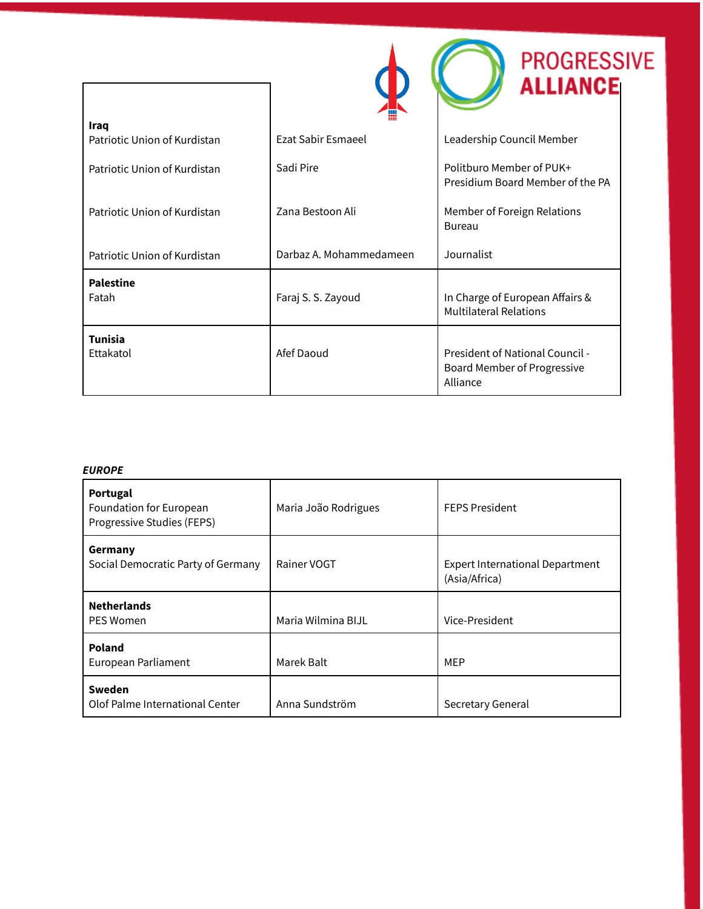|                              |                         | <b>PROGRESSIVE</b><br><b>ALLIANCE</b>                                      |
|------------------------------|-------------------------|----------------------------------------------------------------------------|
| Iraq                         |                         |                                                                            |
| Patriotic Union of Kurdistan | Ezat Sabir Esmaeel      | Leadership Council Member                                                  |
| Patriotic Union of Kurdistan | Sadi Pire               | Politburo Member of PUK+<br>Presidium Board Member of the PA               |
| Patriotic Union of Kurdistan | Zana Bestoon Ali        | Member of Foreign Relations<br>Bureau                                      |
| Patriotic Union of Kurdistan | Darbaz A. Mohammedameen | Journalist                                                                 |
| <b>Palestine</b><br>Fatah    | Faraj S. S. Zayoud      | In Charge of European Affairs &<br><b>Multilateral Relations</b>           |
|                              |                         |                                                                            |
| <b>Tunisia</b><br>Ettakatol  | Afef Daoud              | President of National Council -<br>Board Member of Progressive<br>Alliance |

#### *EUROPE*

| Portugal<br>Foundation for European<br>Progressive Studies (FEPS) | Maria João Rodrigues | <b>FEPS President</b>                                   |
|-------------------------------------------------------------------|----------------------|---------------------------------------------------------|
| Germany<br>Social Democratic Party of Germany                     | Rainer VOGT          | <b>Expert International Department</b><br>(Asia/Africa) |
| <b>Netherlands</b><br><b>PES Women</b>                            | Maria Wilmina BIJL   | Vice-President                                          |
| Poland<br>European Parliament                                     | Marek Balt           | MEP                                                     |
| Sweden<br>Olof Palme International Center                         | Anna Sundström       | Secretary General                                       |